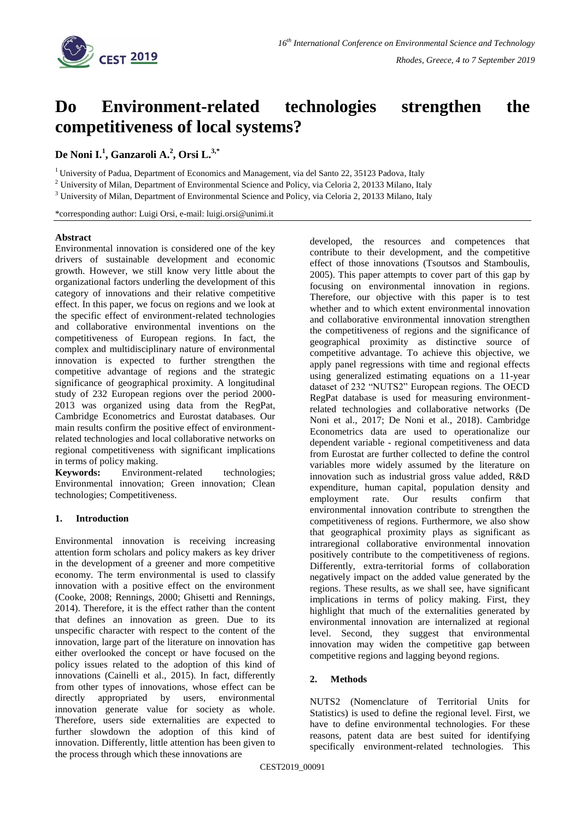

# **Do Environment-related technologies strengthen the competitiveness of local systems?**

**De Noni I.<sup>1</sup> , Ganzaroli A.<sup>2</sup> , Orsi L.3,\***

<sup>1</sup> University of Padua, Department of Economics and Management, via del Santo 22, 35123 Padova, Italy

<sup>2</sup> University of Milan, Department of Environmental Science and Policy, via Celoria 2, 20133 Milano, Italy

<sup>3</sup> University of Milan, Department of Environmental Science and Policy, via Celoria 2, 20133 Milano, Italy

\*corresponding author: Luigi Orsi, e-mail: luigi.orsi@unimi.it

#### **Abstract**

Environmental innovation is considered one of the key drivers of sustainable development and economic growth. However, we still know very little about the organizational factors underling the development of this category of innovations and their relative competitive effect. In this paper, we focus on regions and we look at the specific effect of environment-related technologies and collaborative environmental inventions on the competitiveness of European regions. In fact, the complex and multidisciplinary nature of environmental innovation is expected to further strengthen the competitive advantage of regions and the strategic significance of geographical proximity. A longitudinal study of 232 European regions over the period 2000- 2013 was organized using data from the RegPat, Cambridge Econometrics and Eurostat databases. Our main results confirm the positive effect of environmentrelated technologies and local collaborative networks on regional competitiveness with significant implications in terms of policy making.

**Keywords:** Environment-related technologies; Environmental innovation; Green innovation; Clean technologies; Competitiveness.

## **1. Introduction**

Environmental innovation is receiving increasing attention form scholars and policy makers as key driver in the development of a greener and more competitive economy. The term environmental is used to classify innovation with a positive effect on the environment (Cooke, 2008; Rennings, 2000; Ghisetti and Rennings, 2014). Therefore, it is the effect rather than the content that defines an innovation as green. Due to its unspecific character with respect to the content of the innovation, large part of the literature on innovation has either overlooked the concept or have focused on the policy issues related to the adoption of this kind of innovations (Cainelli et al., 2015). In fact, differently from other types of innovations, whose effect can be directly appropriated by users, environmental innovation generate value for society as whole. Therefore, users side externalities are expected to further slowdown the adoption of this kind of innovation. Differently, little attention has been given to the process through which these innovations are

developed, the resources and competences that contribute to their development, and the competitive effect of those innovations (Tsoutsos and Stamboulis, 2005). This paper attempts to cover part of this gap by focusing on environmental innovation in regions. Therefore, our objective with this paper is to test whether and to which extent environmental innovation and collaborative environmental innovation strengthen the competitiveness of regions and the significance of geographical proximity as distinctive source of competitive advantage. To achieve this objective, we apply panel regressions with time and regional effects using generalized estimating equations on a 11-year dataset of 232 "NUTS2" European regions. The OECD RegPat database is used for measuring environmentrelated technologies and collaborative networks (De Noni et al., 2017; De Noni et al., 2018). Cambridge Econometrics data are used to operationalize our dependent variable - regional competitiveness and data from Eurostat are further collected to define the control variables more widely assumed by the literature on innovation such as industrial gross value added, R&D expenditure, human capital, population density and employment rate. Our results confirm that environmental innovation contribute to strengthen the competitiveness of regions. Furthermore, we also show that geographical proximity plays as significant as intraregional collaborative environmental innovation positively contribute to the competitiveness of regions. Differently, extra-territorial forms of collaboration negatively impact on the added value generated by the regions. These results, as we shall see, have significant implications in terms of policy making. First, they highlight that much of the externalities generated by environmental innovation are internalized at regional level. Second, they suggest that environmental innovation may widen the competitive gap between competitive regions and lagging beyond regions.

## **2. Methods**

NUTS2 (Nomenclature of Territorial Units for Statistics) is used to define the regional level. First, we have to define environmental technologies. For these reasons, patent data are best suited for identifying specifically environment-related technologies. This